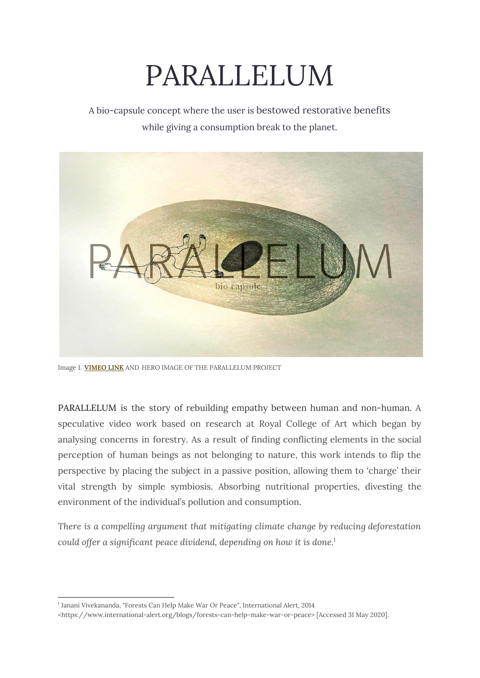# PARALLELUM

A bio-capsule concept where the user is bestowed restorative benefits while giving a consumption break to the planet.



Image 1. **[VIMEO](https://vimeo.com/424165096) LINK** [A](https://vimeo.com/424165096)ND HERO IMAGE OF THE PARALLELUM PROJECT

PARALLELUM is the story of rebuilding empathy between human and non-human. A speculative video work based on research at Royal College of Art which began by analysing concerns in forestry. As a result of finding conflicting elements in the social perception of human beings as not belonging to nature, this work intends to flip the perspective by placing the subject in a passive position, allowing them to 'charge' their vital strength by simple symbiosis. Absorbing nutritional properties, divesting the environment of the individual's pollution and consumption.

*There is a compelling argument that mitigating climate change by reducing deforestation could offer a significant peace dividend, depending on how it is done.* 1

<sup>1</sup> Janani Vivekananda, "Forests Can Help Make War Or Peace", International Alert, 2014

<sup>&</sup>lt;https://www.international-alert.org/blogs/forests-can-help-make-war-or-peace> [Accessed 31 May 2020].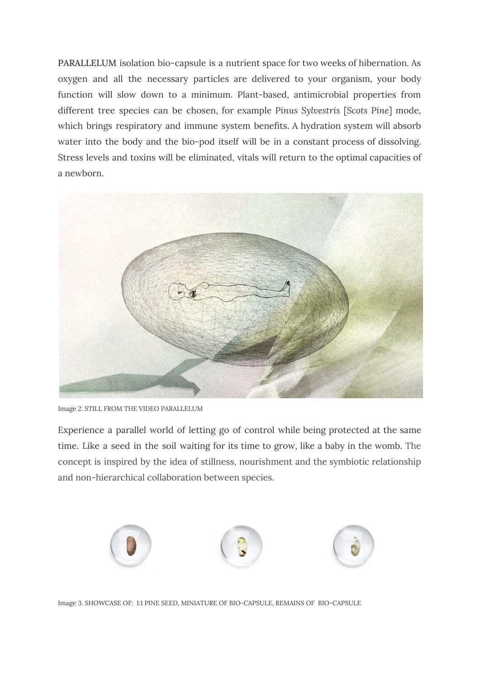PARALLELUM isolation bio-capsule is a nutrient space for two weeks of hibernation. As oxygen and all the necessary particles are delivered to your organism, your body function will slow down to a minimum. Plant-based, antimicrobial properties from different tree species can be chosen, for example *Pinus Sylvestris* [*Scots Pine*] mode, which brings respiratory and immune system benefits. A hydration system will absorb water into the body and the bio-pod itself will be in a constant process of dissolving. Stress levels and toxins will be eliminated, vitals will return to the optimal capacities of a newborn.



Image 2. STILL FROM THE VIDEO PARALLELUM

Experience a parallel world of letting go of control while being protected at the same time. Like a seed in the soil waiting for its time to grow, like a baby in the womb. The concept is inspired by the idea of stillness, nourishment and the symbiotic relationship and non-hierarchical collaboration between species.



Image 3. SHOWCASE OF: 1:1 PINE SEED, MINIATURE OF BIO-CAPSULE, REMAINS OF BIO-CAPSULE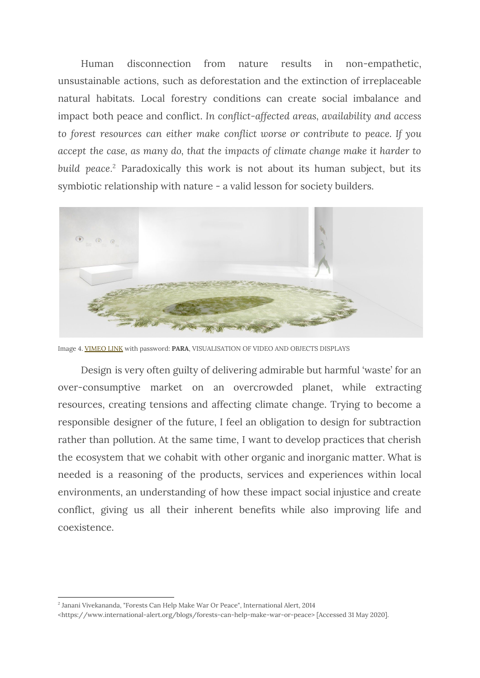Human disconnection from nature results in non-empathetic, unsustainable actions, such as deforestation and the extinction of irreplaceable natural habitats. Local forestry conditions can create social imbalance and impact both peace and conflict. *In conflict-affected areas, availability and access to forest resources can either make conflict worse or contribute to peace. If you accept the case, as many do, that the impacts of climate change make it harder to* build peace.<sup>2</sup> Paradoxically this work is not about its human subject, but its symbiotic relationship with nature - a valid lesson for society builders.



Image 4. [VIMEO](https://vimeo.com/435784958) LINK with password: **PARA**, VISUALISATION OF VIDEO AND OBJECTS DISPLAYS

Design is very often guilty of delivering admirable but harmful 'waste' for an over-consumptive market on an overcrowded planet, while extracting resources, creating tensions and affecting climate change. Trying to become a responsible designer of the future, I feel an obligation to design for subtraction rather than pollution. At the same time, I want to develop practices that cherish the ecosystem that we cohabit with other organic and inorganic matter. What is needed is a reasoning of the products, services and experiences within local environments, an understanding of how these impact social injustice and create conflict, giving us all their inherent benefits while also improving life and coexistence.

<sup>2</sup> Janani Vivekananda, "Forests Can Help Make War Or Peace", International Alert, 2014

<sup>&</sup>lt;https://www.international-alert.org/blogs/forests-can-help-make-war-or-peace> [Accessed 31 May 2020].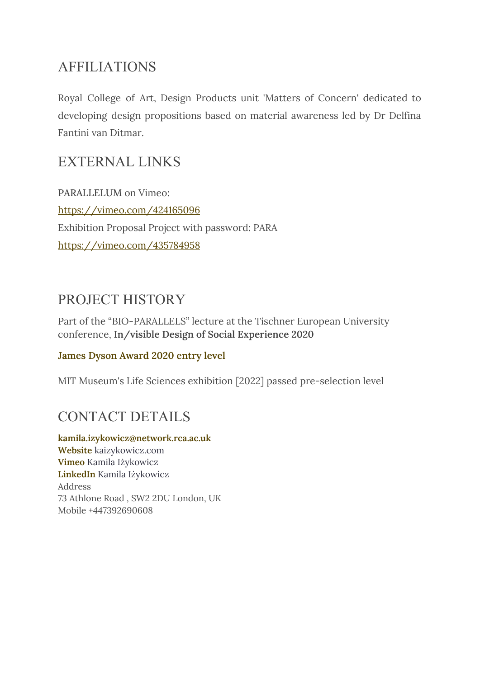#### AFFILIATIONS

Royal College of Art, Design Products unit 'Matters of Concern' dedicated to developing design propositions based on material awareness led by Dr Delfina Fantini van Ditmar.

#### EXTERNAL LINKS

PARALLELUM on Vimeo: <https://vimeo.com/424165096> Exhibition Proposal Project with password: PARA <https://vimeo.com/435784958>

#### PROJECT HISTORY

Part of the "BIO-PARALLELS" lecture at the Tischner European University conference, **In/visible Design of Social Experience 2020**

#### **James Dyson [Award](https://www.jamesdysonaward.org/2020/project/parallelum/) 2020 entry level**

MIT Museum's Life Sciences exhibition [2022] passed pre-selection level

### CONTACT DETAILS

**[kamila.izykowicz@network.rca.ac.uk](mailto:kamila.izykowicz@network.rca.ac.uk) [Website](http://kaizykowicz.com/)** kaizykowicz.com **[Vimeo](https://vimeo.com/user13461139)** Kamila Iżykowicz **[LinkedIn](https://www.linkedin.com/in/kaizykowicz/)** Kamila Iżykowicz Address 73 Athlone Road , SW2 2DU London, UK Mobile +447392690608